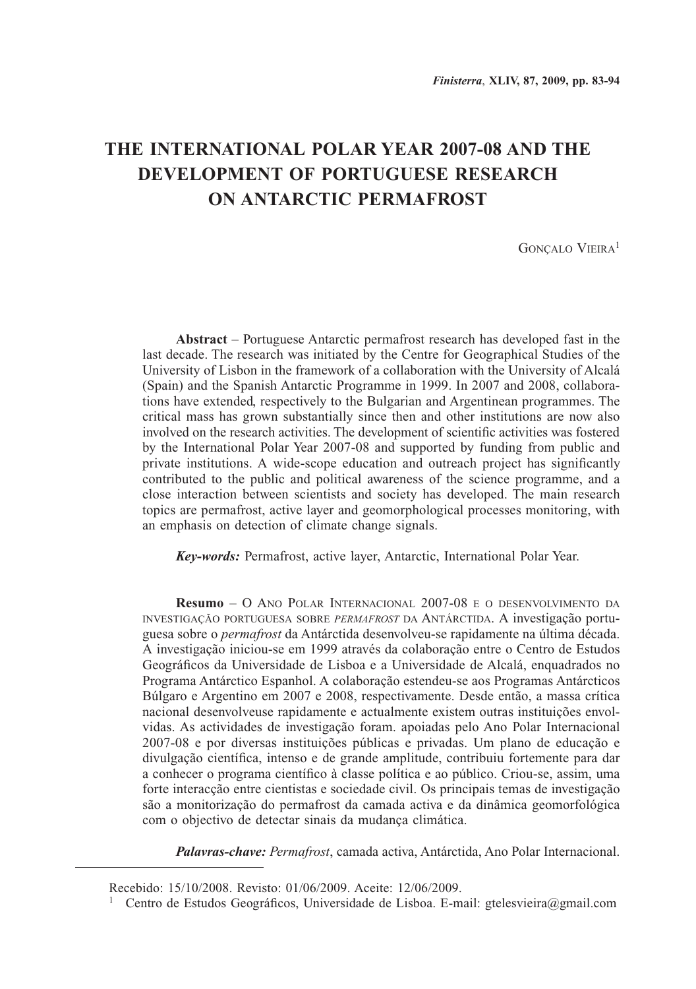# **THE INTERNATIONAL POLAR YEAR 2007-08 AND THE DEVELOPMENT OF PORTUGUESE RESEARCH ON ANTARCTIC PERMAFROST**

GONCALO VIEIRA<sup>1</sup>

**Abstract** – Portuguese Antarctic permafrost research has developed fast in the last decade. The research was initiated by the Centre for Geographical Studies of the University of Lisbon in the framework of a collaboration with the University of Alcalá (Spain) and the Spanish Antarctic Programme in 1999. In 2007 and 2008, collaborations have extended, respectively to the Bulgarian and Argentinean programmes. The critical mass has grown substantially since then and other institutions are now also involved on the research activities. The development of scientific activities was fostered by the International Polar Year 2007-08 and supported by funding from public and private institutions. A wide-scope education and outreach project has significantly contributed to the public and political awareness of the science programme, and a close interaction between scientists and society has developed. The main research topics are permafrost, active layer and geomorphological processes monitoring, with an emphasis on detection of climate change signals.

*Key-words:* Permafrost, active layer, Antarctic, International Polar Year.

**Resumo** – O Ano Polar Internacional 2007-08 e o desenvolvimento da investigação portuguesa sobre *permafrost* da Antárctida. A investigação portuguesa sobre o *permafrost* da Antárctida desenvolveu-se rapidamente na última década. A investigação iniciou-se em 1999 através da colaboração entre o Centro de Estudos Geográficos da Universidade de Lisboa e a Universidade de Alcalá, enquadrados no Programa Antárctico Espanhol. A colaboração estendeu-se aos Programas Antárcticos Búlgaro e Argentino em 2007 e 2008, respectivamente. Desde então, a massa crítica nacional desenvolveuse rapidamente e actualmente existem outras instituições envolvidas. As actividades de investigação foram. apoiadas pelo Ano Polar Internacional 2007-08 e por diversas instituições públicas e privadas. Um plano de educação e divulgação científica, intenso e de grande amplitude, contribuiu fortemente para dar a conhecer o programa científico à classe política e ao público. Criou-se, assim, uma forte interacção entre cientistas e sociedade civil. Os principais temas de investigação são a monitorização do permafrost da camada activa e da dinâmica geomorfológica com o objectivo de detectar sinais da mudança climática.

*Palavras-chave: Permafrost*, camada activa, Antárctida, Ano Polar Internacional.

Recebido: 15/10/2008. Revisto: 01/06/2009. Aceite: 12/06/2009.

<sup>&</sup>lt;sup>1</sup> Centro de Estudos Geográficos, Universidade de Lisboa. E-mail: gtelesvieira@gmail.com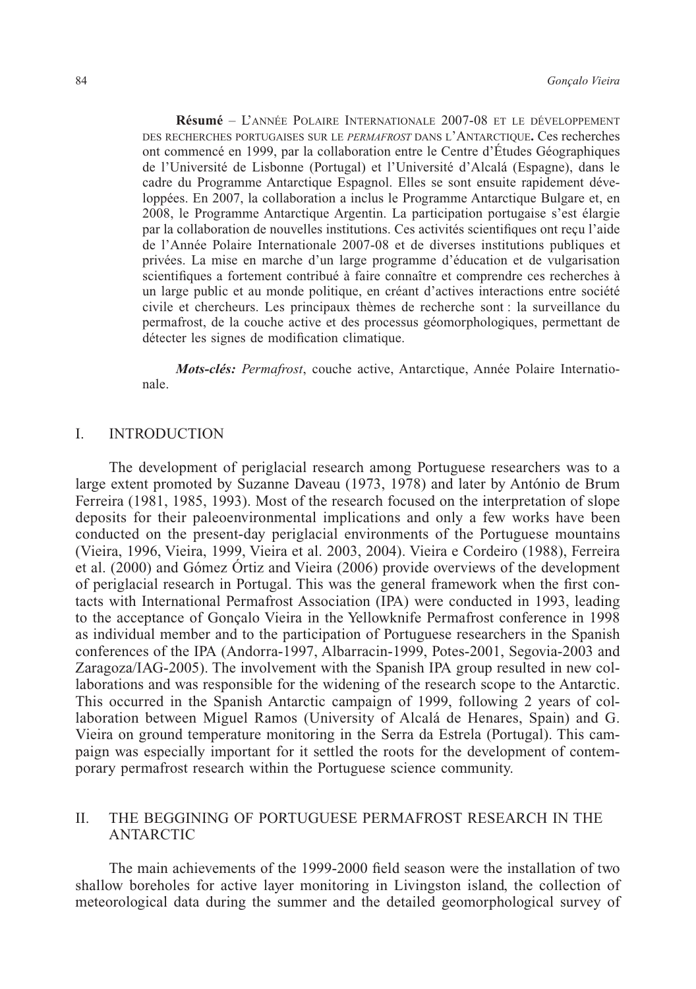**Résumé** – L'année Polaire Internationale 2007-08 et le développement des recherches portugaises sur le *permafrost* dans l'Antarctique**.** Ces recherches ont commencé en 1999, par la collaboration entre le Centre d'Études Géographiques de l'Université de Lisbonne (Portugal) et l'Université d'Alcalá (Espagne), dans le cadre du Programme Antarctique Espagnol. Elles se sont ensuite rapidement développées. En 2007, la collaboration a inclus le Programme Antarctique Bulgare et, en 2008, le Programme Antarctique Argentin. La participation portugaise s'est élargie par la collaboration de nouvelles institutions. Ces activités scientifiques ont reçu l'aide de l'Année Polaire Internationale 2007-08 et de diverses institutions publiques et privées. La mise en marche d'un large programme d'éducation et de vulgarisation scientifiques a fortement contribué à faire connaître et comprendre ces recherches à un large public et au monde politique, en créant d'actives interactions entre société civile et chercheurs. Les principaux thèmes de recherche sont : la surveillance du permafrost, de la couche active et des processus géomorphologiques, permettant de détecter les signes de modification climatique.

*Mots-clés: Permafrost*, couche active, Antarctique, Année Polaire Internationale.

#### I. INTRODUCTION

The development of periglacial research among Portuguese researchers was to a large extent promoted by Suzanne Daveau (1973, 1978) and later by António de Brum Ferreira (1981, 1985, 1993). Most of the research focused on the interpretation of slope deposits for their paleoenvironmental implications and only a few works have been conducted on the present-day periglacial environments of the Portuguese mountains (Vieira, 1996, Vieira, 1999, Vieira et al. 2003, 2004). Vieira e Cordeiro (1988), Ferreira et al. (2000) and Gómez Órtiz and Vieira (2006) provide overviews of the development of periglacial research in Portugal. This was the general framework when the first contacts with International Permafrost Association (IPA) were conducted in 1993, leading to the acceptance of Gonçalo Vieira in the Yellowknife Permafrost conference in 1998 as individual member and to the participation of Portuguese researchers in the Spanish conferences of the IPA (Andorra-1997, Albarracin-1999, Potes-2001, Segovia-2003 and Zaragoza/IAG-2005). The involvement with the Spanish IPA group resulted in new collaborations and was responsible for the widening of the research scope to the Antarctic. This occurred in the Spanish Antarctic campaign of 1999, following 2 years of collaboration between Miguel Ramos (University of Alcalá de Henares, Spain) and G. Vieira on ground temperature monitoring in the Serra da Estrela (Portugal). This campaign was especially important for it settled the roots for the development of contemporary permafrost research within the Portuguese science community.

# II. THE BEGGINING OF PORTUGUESE PERMAFROST RESEARCH IN THE ANTARCTIC

The main achievements of the 1999-2000 field season were the installation of two shallow boreholes for active layer monitoring in Livingston island, the collection of meteorological data during the summer and the detailed geomorphological survey of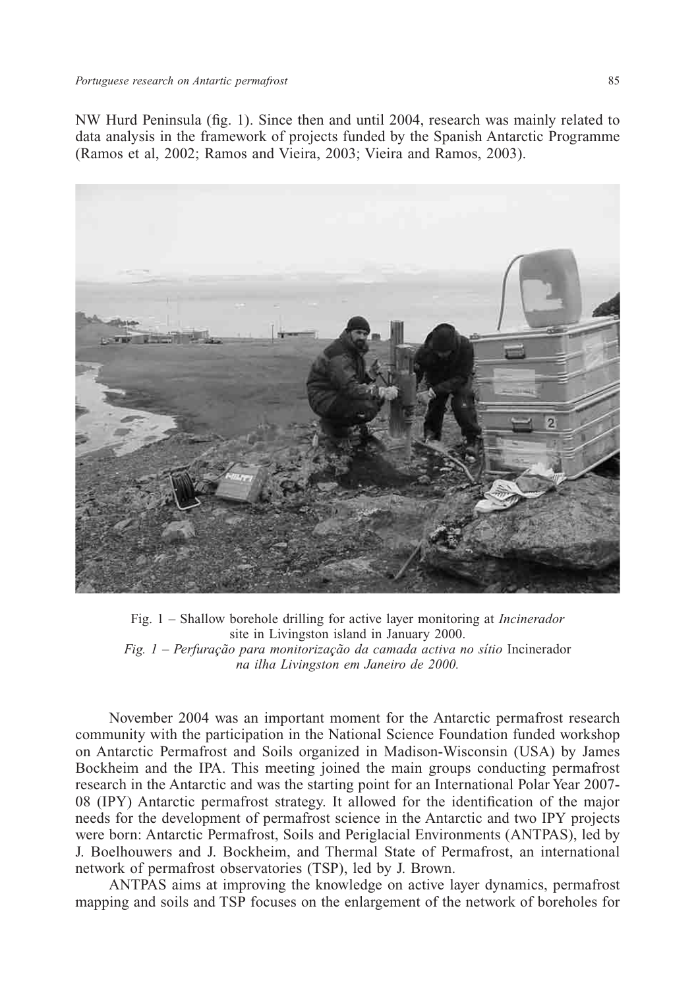NW Hurd Peninsula (fig. 1). Since then and until 2004, research was mainly related to data analysis in the framework of projects funded by the Spanish Antarctic Programme (Ramos et al, 2002; Ramos and Vieira, 2003; Vieira and Ramos, 2003).



Fig. 1 – Shallow borehole drilling for active layer monitoring at *Incinerador* site in Livingston island in January 2000. *Fig. 1 – Perfuração para monitorização da camada activa no sítio* Incinerador *na ilha Livingston em Janeiro de 2000.*

November 2004 was an important moment for the Antarctic permafrost research community with the participation in the National Science Foundation funded workshop on Antarctic Permafrost and Soils organized in Madison-Wisconsin (USA) by James Bockheim and the IPA. This meeting joined the main groups conducting permafrost research in the Antarctic and was the starting point for an International Polar Year 2007- 08 (IPY) Antarctic permafrost strategy. It allowed for the identification of the major needs for the development of permafrost science in the Antarctic and two IPY projects were born: Antarctic Permafrost, Soils and Periglacial Environments (ANTPAS), led by J. Boelhouwers and J. Bockheim, and Thermal State of Permafrost, an international network of permafrost observatories (TSP), led by J. Brown.

ANTPAS aims at improving the knowledge on active layer dynamics, permafrost mapping and soils and TSP focuses on the enlargement of the network of boreholes for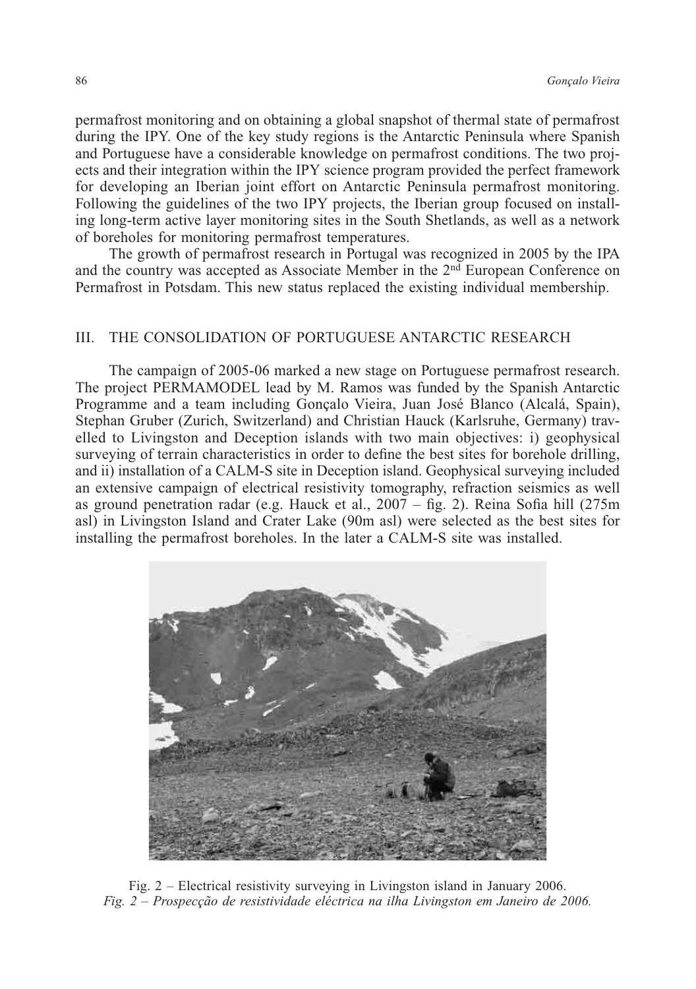permafrost monitoring and on obtaining a global snapshot of thermal state of permafrost during the IPY. One of the key study regions is the Antarctic Peninsula where Spanish and Portuguese have a considerable knowledge on permafrost conditions. The two projects and their integration within the IPY science program provided the perfect framework for developing an Iberian joint effort on Antarctic Peninsula permafrost monitoring. Following the guidelines of the two IPY projects, the Iberian group focused on installing long-term active layer monitoring sites in the South Shetlands, as well as a network of boreholes for monitoring permafrost temperatures.

The growth of permafrost research in Portugal was recognized in 2005 by the IPA and the country was accepted as Associate Member in the 2nd European Conference on Permafrost in Potsdam. This new status replaced the existing individual membership.

## III. THE CONSOLIDATION OF PORTUGUESE ANTARCTIC RESEARCH

The campaign of 2005-06 marked a new stage on Portuguese permafrost research. The project PERMAMODEL lead by M. Ramos was funded by the Spanish Antarctic Programme and a team including Gonçalo Vieira, Juan José Blanco (Alcalá, Spain), Stephan Gruber (Zurich, Switzerland) and Christian Hauck (Karlsruhe, Germany) travelled to Livingston and Deception islands with two main objectives: i) geophysical surveying of terrain characteristics in order to define the best sites for borehole drilling, and ii) installation of a CALM-S site in Deception island. Geophysical surveying included an extensive campaign of electrical resistivity tomography, refraction seismics as well as ground penetration radar (e.g. Hauck et al., 2007 – fig. 2). Reina Sofia hill (275m asl) in Livingston Island and Crater Lake (90m asl) were selected as the best sites for installing the permafrost boreholes. In the later a CALM-S site was installed.



Fig. 2 – Electrical resistivity surveying in Livingston island in January 2006. *Fig. 2 – Prospecção de resistividade eléctrica na ilha Livingston em Janeiro de 2006.*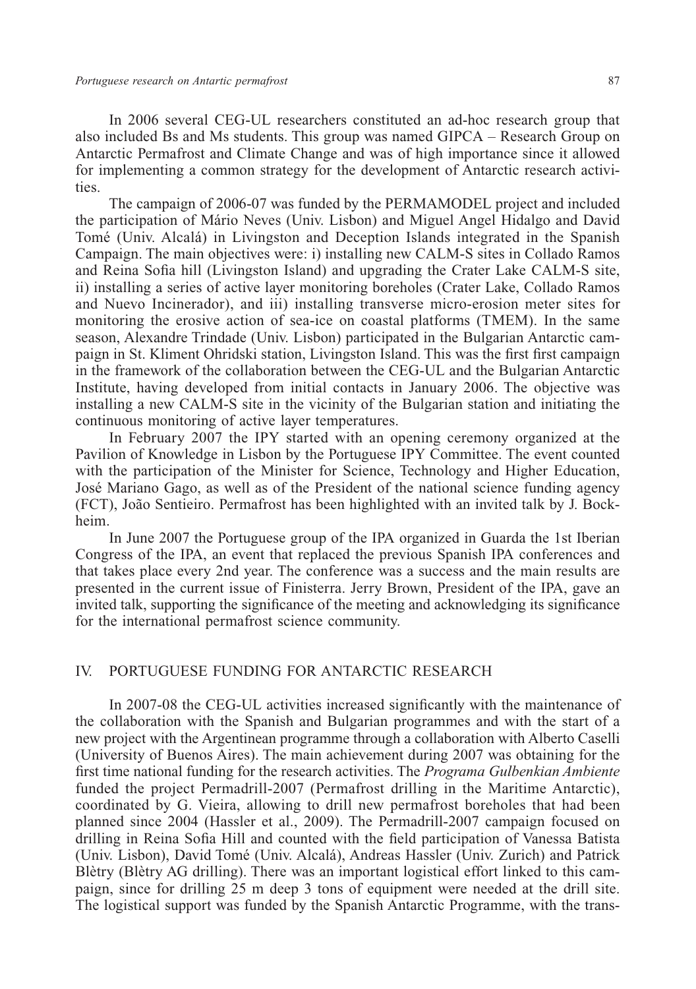In 2006 several CEG-UL researchers constituted an ad-hoc research group that also included Bs and Ms students. This group was named GIPCA – Research Group on Antarctic Permafrost and Climate Change and was of high importance since it allowed for implementing a common strategy for the development of Antarctic research activities.

The campaign of 2006-07 was funded by the PERMAMODEL project and included the participation of Mário Neves (Univ. Lisbon) and Miguel Angel Hidalgo and David Tomé (Univ. Alcalá) in Livingston and Deception Islands integrated in the Spanish Campaign. The main objectives were: i) installing new CALM-S sites in Collado Ramos and Reina Sofia hill (Livingston Island) and upgrading the Crater Lake CALM-S site, ii) installing a series of active layer monitoring boreholes (Crater Lake, Collado Ramos and Nuevo Incinerador), and iii) installing transverse micro-erosion meter sites for monitoring the erosive action of sea-ice on coastal platforms (TMEM). In the same season, Alexandre Trindade (Univ. Lisbon) participated in the Bulgarian Antarctic campaign in St. Kliment Ohridski station, Livingston Island. This was the first first campaign in the framework of the collaboration between the CEG-UL and the Bulgarian Antarctic Institute, having developed from initial contacts in January 2006. The objective was installing a new CALM-S site in the vicinity of the Bulgarian station and initiating the continuous monitoring of active layer temperatures.

In February 2007 the IPY started with an opening ceremony organized at the Pavilion of Knowledge in Lisbon by the Portuguese IPY Committee. The event counted with the participation of the Minister for Science, Technology and Higher Education, José Mariano Gago, as well as of the President of the national science funding agency (FCT), João Sentieiro. Permafrost has been highlighted with an invited talk by J. Bockheim.

In June 2007 the Portuguese group of the IPA organized in Guarda the 1st Iberian Congress of the IPA, an event that replaced the previous Spanish IPA conferences and that takes place every 2nd year. The conference was a success and the main results are presented in the current issue of Finisterra. Jerry Brown, President of the IPA, gave an invited talk, supporting the significance of the meeting and acknowledging its significance for the international permafrost science community.

## IV. PORTUGUESE FUNDING FOR ANTARCTIC RESEARCH

In 2007-08 the CEG-UL activities increased significantly with the maintenance of the collaboration with the Spanish and Bulgarian programmes and with the start of a new project with the Argentinean programme through a collaboration with Alberto Caselli (University of Buenos Aires). The main achievement during 2007 was obtaining for the first time national funding for the research activities. The *Programa Gulbenkian Ambiente* funded the project Permadrill-2007 (Permafrost drilling in the Maritime Antarctic), coordinated by G. Vieira, allowing to drill new permafrost boreholes that had been planned since 2004 (Hassler et al., 2009). The Permadrill-2007 campaign focused on drilling in Reina Sofia Hill and counted with the field participation of Vanessa Batista (Univ. Lisbon), David Tomé (Univ. Alcalá), Andreas Hassler (Univ. Zurich) and Patrick Blètry (Blètry AG drilling). There was an important logistical effort linked to this campaign, since for drilling 25 m deep 3 tons of equipment were needed at the drill site. The logistical support was funded by the Spanish Antarctic Programme, with the trans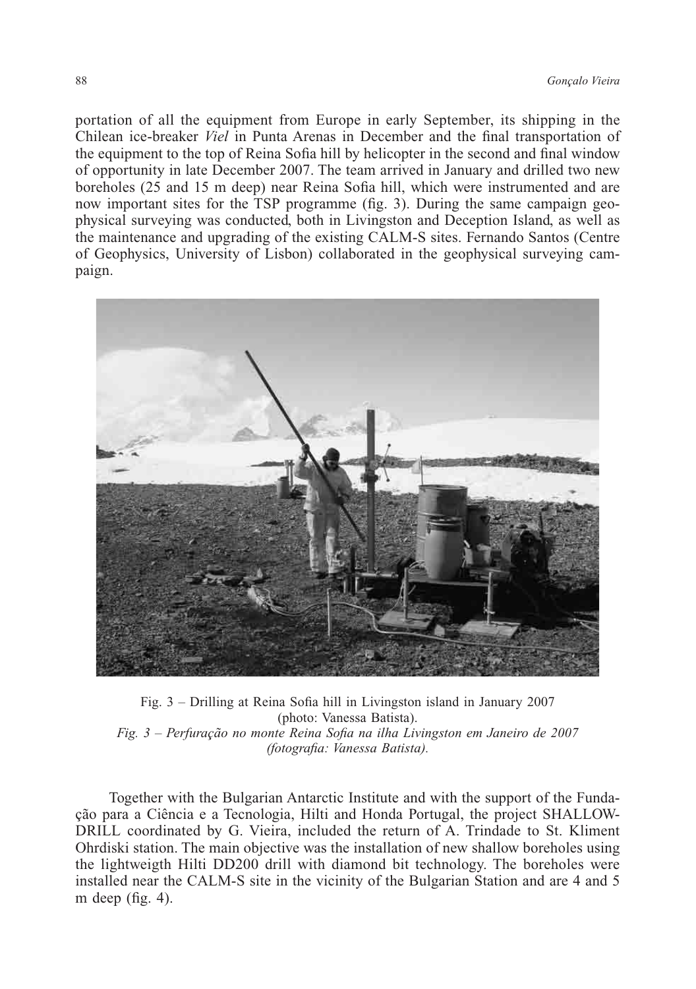portation of all the equipment from Europe in early September, its shipping in the Chilean ice-breaker *Viel* in Punta Arenas in December and the final transportation of the equipment to the top of Reina Sofia hill by helicopter in the second and final window of opportunity in late December 2007. The team arrived in January and drilled two new boreholes (25 and 15 m deep) near Reina Sofia hill, which were instrumented and are now important sites for the TSP programme (fig. 3). During the same campaign geophysical surveying was conducted, both in Livingston and Deception Island, as well as the maintenance and upgrading of the existing CALM-S sites. Fernando Santos (Centre of Geophysics, University of Lisbon) collaborated in the geophysical surveying campaign.



Fig. 3 – Drilling at Reina Sofia hill in Livingston island in January 2007 (photo: Vanessa Batista). *Fig. 3 – Perfuração no monte Reina Sofia na ilha Livingston em Janeiro de 2007 (fotografia: Vanessa Batista).*

Together with the Bulgarian Antarctic Institute and with the support of the Fundação para a Ciência e a Tecnologia, Hilti and Honda Portugal, the project SHALLOW-DRILL coordinated by G. Vieira, included the return of A. Trindade to St. Kliment Ohrdiski station. The main objective was the installation of new shallow boreholes using the lightweigth Hilti DD200 drill with diamond bit technology. The boreholes were installed near the CALM-S site in the vicinity of the Bulgarian Station and are 4 and 5 m deep (fig. 4).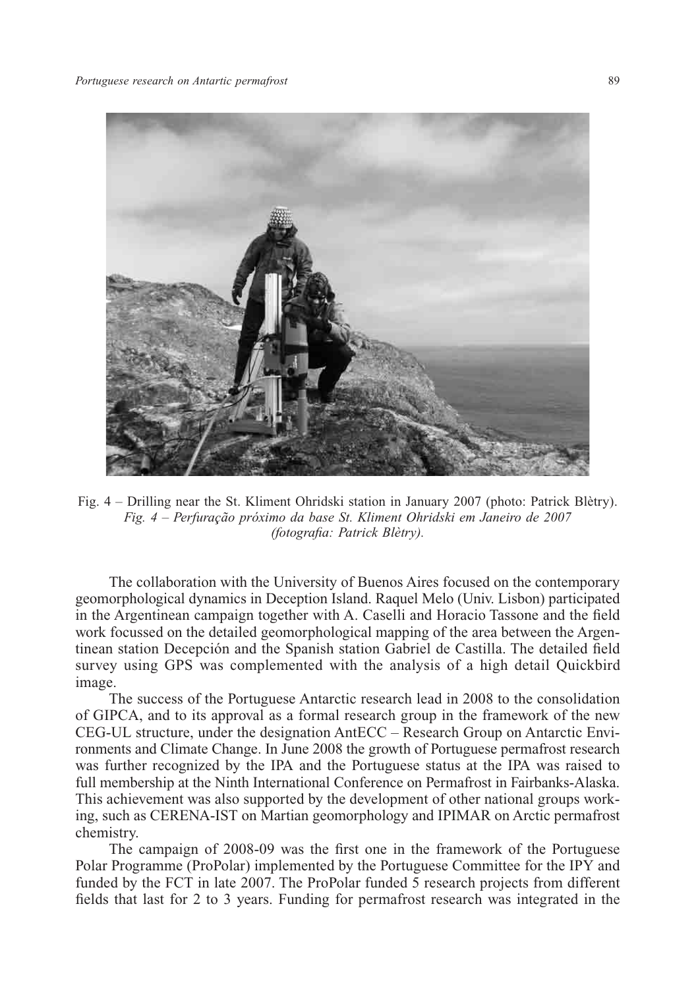

Fig. 4 – Drilling near the St. Kliment Ohridski station in January 2007 (photo: Patrick Blètry). *Fig. 4 – Perfuração próximo da base St. Kliment Ohridski em Janeiro de 2007 (fotografia: Patrick Blètry).*

The collaboration with the University of Buenos Aires focused on the contemporary geomorphological dynamics in Deception Island. Raquel Melo (Univ. Lisbon) participated in the Argentinean campaign together with A. Caselli and Horacio Tassone and the field work focussed on the detailed geomorphological mapping of the area between the Argentinean station Decepción and the Spanish station Gabriel de Castilla. The detailed field survey using GPS was complemented with the analysis of a high detail Quickbird image.

The success of the Portuguese Antarctic research lead in 2008 to the consolidation of GIPCA, and to its approval as a formal research group in the framework of the new CEG-UL structure, under the designation AntECC – Research Group on Antarctic Environments and Climate Change. In June 2008 the growth of Portuguese permafrost research was further recognized by the IPA and the Portuguese status at the IPA was raised to full membership at the Ninth International Conference on Permafrost in Fairbanks-Alaska. This achievement was also supported by the development of other national groups working, such as CERENA-IST on Martian geomorphology and IPIMAR on Arctic permafrost chemistry.

The campaign of 2008-09 was the first one in the framework of the Portuguese Polar Programme (ProPolar) implemented by the Portuguese Committee for the IPY and funded by the FCT in late 2007. The ProPolar funded 5 research projects from different fields that last for 2 to 3 years. Funding for permafrost research was integrated in the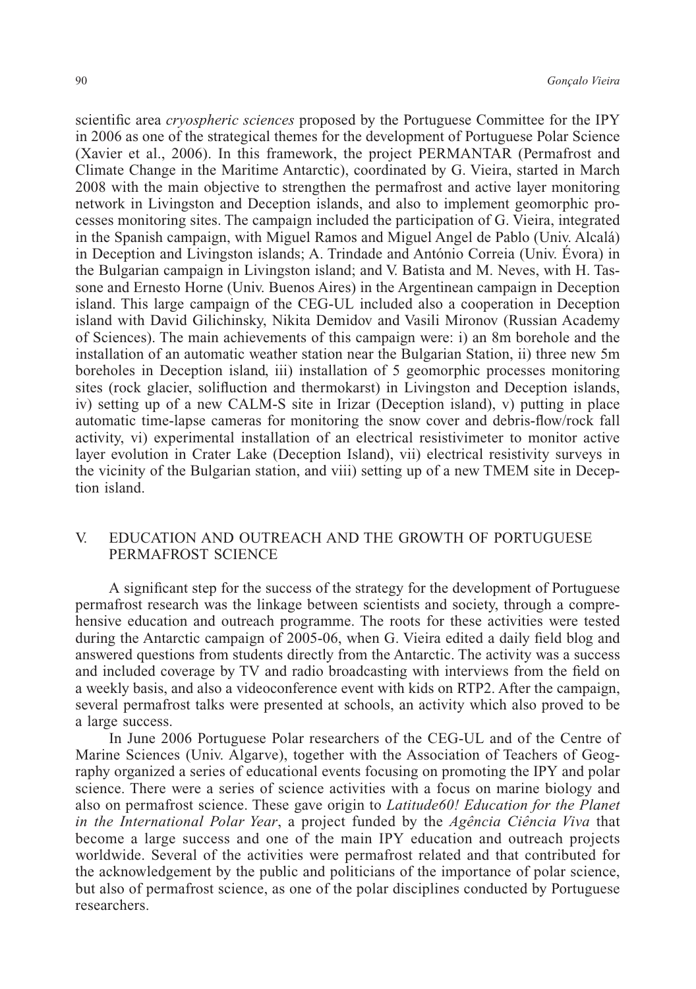scientific area *cryospheric sciences* proposed by the Portuguese Committee for the IPY in 2006 as one of the strategical themes for the development of Portuguese Polar Science (Xavier et al., 2006). In this framework, the project PERMANTAR (Permafrost and Climate Change in the Maritime Antarctic), coordinated by G. Vieira, started in March 2008 with the main objective to strengthen the permafrost and active layer monitoring network in Livingston and Deception islands, and also to implement geomorphic processes monitoring sites. The campaign included the participation of G. Vieira, integrated in the Spanish campaign, with Miguel Ramos and Miguel Angel de Pablo (Univ. Alcalá) in Deception and Livingston islands; A. Trindade and António Correia (Univ. Évora) in the Bulgarian campaign in Livingston island; and V. Batista and M. Neves, with H. Tassone and Ernesto Horne (Univ. Buenos Aires) in the Argentinean campaign in Deception island. This large campaign of the CEG-UL included also a cooperation in Deception island with David Gilichinsky, Nikita Demidov and Vasili Mironov (Russian Academy of Sciences). The main achievements of this campaign were: i) an 8m borehole and the installation of an automatic weather station near the Bulgarian Station, ii) three new 5m boreholes in Deception island, iii) installation of 5 geomorphic processes monitoring sites (rock glacier, solifluction and thermokarst) in Livingston and Deception islands, iv) setting up of a new CALM-S site in Irizar (Deception island), v) putting in place automatic time-lapse cameras for monitoring the snow cover and debris-flow/rock fall activity, vi) experimental installation of an electrical resistivimeter to monitor active layer evolution in Crater Lake (Deception Island), vii) electrical resistivity surveys in the vicinity of the Bulgarian station, and viii) setting up of a new TMEM site in Deception island.

# V. EDUCATION AND OUTREACH AND THE GROWTH OF PORTUGUESE PERMAFROST SCIENCE

A significant step for the success of the strategy for the development of Portuguese permafrost research was the linkage between scientists and society, through a comprehensive education and outreach programme. The roots for these activities were tested during the Antarctic campaign of 2005-06, when G. Vieira edited a daily field blog and answered questions from students directly from the Antarctic. The activity was a success and included coverage by TV and radio broadcasting with interviews from the field on a weekly basis, and also a videoconference event with kids on RTP2. After the campaign, several permafrost talks were presented at schools, an activity which also proved to be a large success.

In June 2006 Portuguese Polar researchers of the CEG-UL and of the Centre of Marine Sciences (Univ. Algarve), together with the Association of Teachers of Geography organized a series of educational events focusing on promoting the IPY and polar science. There were a series of science activities with a focus on marine biology and also on permafrost science. These gave origin to *Latitude60! Education for the Planet in the International Polar Year*, a project funded by the *Agência Ciência Viva* that become a large success and one of the main IPY education and outreach projects worldwide. Several of the activities were permafrost related and that contributed for the acknowledgement by the public and politicians of the importance of polar science, but also of permafrost science, as one of the polar disciplines conducted by Portuguese researchers.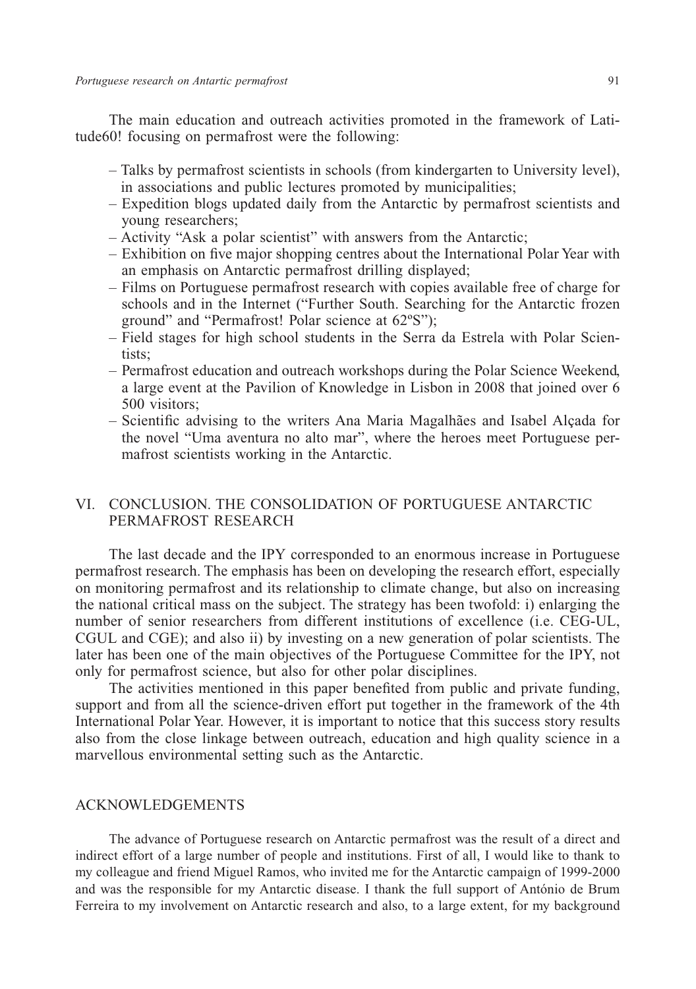The main education and outreach activities promoted in the framework of Latitude60! focusing on permafrost were the following:

- Talks by permafrost scientists in schools (from kindergarten to University level), in associations and public lectures promoted by municipalities;
- Expedition blogs updated daily from the Antarctic by permafrost scientists and young researchers;
- Activity "Ask a polar scientist" with answers from the Antarctic;
- Exhibition on five major shopping centres about the International Polar Year with an emphasis on Antarctic permafrost drilling displayed;
- Films on Portuguese permafrost research with copies available free of charge for schools and in the Internet ("Further South. Searching for the Antarctic frozen ground" and "Permafrost! Polar science at 62ºS");
- Field stages for high school students in the Serra da Estrela with Polar Scientists;
- Permafrost education and outreach workshops during the Polar Science Weekend, a large event at the Pavilion of Knowledge in Lisbon in 2008 that joined over 6 500 visitors;
- Scientific advising to the writers Ana Maria Magalhães and Isabel Alçada for the novel "Uma aventura no alto mar", where the heroes meet Portuguese permafrost scientists working in the Antarctic.

# VI. CONCLUSION. THE CONSOLIDATION OF PORTUGUESE ANTARCTIC PERMAFROST RESEARCH

The last decade and the IPY corresponded to an enormous increase in Portuguese permafrost research. The emphasis has been on developing the research effort, especially on monitoring permafrost and its relationship to climate change, but also on increasing the national critical mass on the subject. The strategy has been twofold: i) enlarging the number of senior researchers from different institutions of excellence (i.e. CEG-UL, CGUL and CGE); and also ii) by investing on a new generation of polar scientists. The later has been one of the main objectives of the Portuguese Committee for the IPY, not only for permafrost science, but also for other polar disciplines.

The activities mentioned in this paper benefited from public and private funding, support and from all the science-driven effort put together in the framework of the 4th International Polar Year. However, it is important to notice that this success story results also from the close linkage between outreach, education and high quality science in a marvellous environmental setting such as the Antarctic.

#### ACKNOWLEDGEMENTS

The advance of Portuguese research on Antarctic permafrost was the result of a direct and indirect effort of a large number of people and institutions. First of all, I would like to thank to my colleague and friend Miguel Ramos, who invited me for the Antarctic campaign of 1999-2000 and was the responsible for my Antarctic disease. I thank the full support of António de Brum Ferreira to my involvement on Antarctic research and also, to a large extent, for my background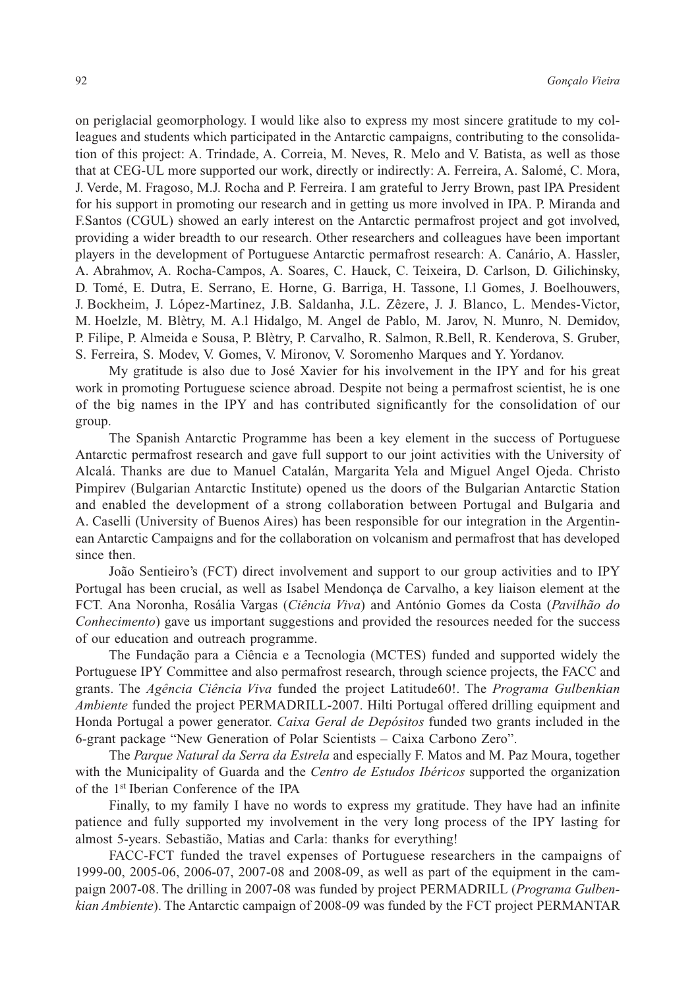on periglacial geomorphology. I would like also to express my most sincere gratitude to my colleagues and students which participated in the Antarctic campaigns, contributing to the consolidation of this project: A. Trindade, A. Correia, M. Neves, R. Melo and V. Batista, as well as those that at CEG-UL more supported our work, directly or indirectly: A. Ferreira, A. Salomé, C. Mora, J. Verde, M. Fragoso, M.J. Rocha and P. Ferreira. I am grateful to Jerry Brown, past IPA President for his support in promoting our research and in getting us more involved in IPA. P. Miranda and F.Santos (CGUL) showed an early interest on the Antarctic permafrost project and got involved, providing a wider breadth to our research. Other researchers and colleagues have been important players in the development of Portuguese Antarctic permafrost research: A. Canário, A. Hassler, A. Abrahmov, A. Rocha-Campos, A. Soares, C. Hauck, C. Teixeira, D. Carlson, D. Gilichinsky, D. Tomé, E. Dutra, E. Serrano, E. Horne, G. Barriga, H. Tassone, I.l Gomes, J. Boelhouwers, J. Bockheim, J. López-Martinez, J.B. Saldanha, J.L. Zêzere, J. J. Blanco, L. Mendes-Victor, M. Hoelzle, M. Blètry, M. A.l Hidalgo, M. Angel de Pablo, M. Jarov, N. Munro, N. Demidov, P. Filipe, P. Almeida e Sousa, P. Blètry, P. Carvalho, R. Salmon, R.Bell, R. Kenderova, S. Gruber, S. Ferreira, S. Modev, V. Gomes, V. Mironov, V. Soromenho Marques and Y. Yordanov.

My gratitude is also due to José Xavier for his involvement in the IPY and for his great work in promoting Portuguese science abroad. Despite not being a permafrost scientist, he is one of the big names in the IPY and has contributed significantly for the consolidation of our group.

The Spanish Antarctic Programme has been a key element in the success of Portuguese Antarctic permafrost research and gave full support to our joint activities with the University of Alcalá. Thanks are due to Manuel Catalán, Margarita Yela and Miguel Angel Ojeda. Christo Pimpirev (Bulgarian Antarctic Institute) opened us the doors of the Bulgarian Antarctic Station and enabled the development of a strong collaboration between Portugal and Bulgaria and A. Caselli (University of Buenos Aires) has been responsible for our integration in the Argentinean Antarctic Campaigns and for the collaboration on volcanism and permafrost that has developed since then.

João Sentieiro's (FCT) direct involvement and support to our group activities and to IPY Portugal has been crucial, as well as Isabel Mendonça de Carvalho, a key liaison element at the FCT. Ana Noronha, Rosália Vargas (*Ciência Viva*) and António Gomes da Costa (*Pavilhão do Conhecimento*) gave us important suggestions and provided the resources needed for the success of our education and outreach programme.

The Fundação para a Ciência e a Tecnologia (MCTES) funded and supported widely the Portuguese IPY Committee and also permafrost research, through science projects, the FACC and grants. The *Agência Ciência Viva* funded the project Latitude60!. The *Programa Gulbenkian Ambiente* funded the project PERMADRILL-2007. Hilti Portugal offered drilling equipment and Honda Portugal a power generator. *Caixa Geral de Depósitos* funded two grants included in the 6-grant package "New Generation of Polar Scientists – Caixa Carbono Zero".

The *Parque Natural da Serra da Estrela* and especially F. Matos and M. Paz Moura, together with the Municipality of Guarda and the *Centro de Estudos Ibéricos* supported the organization of the 1st Iberian Conference of the IPA

Finally, to my family I have no words to express my gratitude. They have had an infinite patience and fully supported my involvement in the very long process of the IPY lasting for almost 5-years. Sebastião, Matias and Carla: thanks for everything!

FACC-FCT funded the travel expenses of Portuguese researchers in the campaigns of 1999-00, 2005-06, 2006-07, 2007-08 and 2008-09, as well as part of the equipment in the campaign 2007-08. The drilling in 2007-08 was funded by project PERMADRILL (*Programa Gulbenkian Ambiente*). The Antarctic campaign of 2008-09 was funded by the FCT project PERMANTAR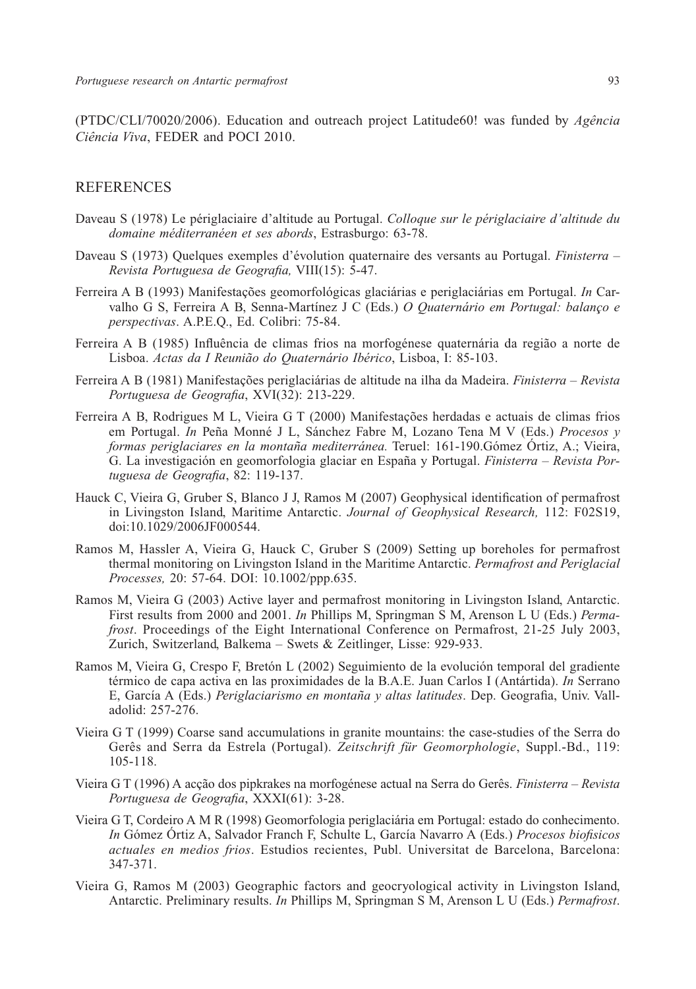(PTDC/CLI/70020/2006). Education and outreach project Latitude60! was funded by *Agência Ciência Viva*, FEDER and POCI 2010.

#### REFERENCES

- Daveau S (1978) Le périglaciaire d'altitude au Portugal. *Colloque sur le périglaciaire d'altitude du domaine méditerranéen et ses abords*, Estrasburgo: 63-78.
- Daveau S (1973) Quelques exemples d'évolution quaternaire des versants au Portugal. *Finisterra Revista Portuguesa de Geografia,* VIII(15): 5-47.
- Ferreira A B (1993) Manifestações geomorfológicas glaciárias e periglaciárias em Portugal. *In* Carvalho G S, Ferreira A B, Senna-Martínez J C (Eds.) *O Quaternário em Portugal: balanço e perspectivas*. A.P.E.Q., Ed. Colibri: 75-84.
- Ferreira A B (1985) Influência de climas frios na morfogénese quaternária da região a norte de Lisboa. *Actas da I Reunião do Quaternário Ibérico*, Lisboa, I: 85-103.
- Ferreira A B (1981) Manifestações periglaciárias de altitude na ilha da Madeira. *Finisterra Revista Portuguesa de Geografia*, XVI(32): 213-229.
- Ferreira A B, Rodrigues M L, Vieira G T (2000) Manifestações herdadas e actuais de climas frios em Portugal. *In* Peña Monné J L, Sánchez Fabre M, Lozano Tena M V (Eds.) *Procesos y formas periglaciares en la montaña mediterránea.* Teruel: 161-190.Gómez Órtiz, A.; Vieira, G. La investigación en geomorfologia glaciar en España y Portugal. *Finisterra – Revista Portuguesa de Geografia*, 82: 119-137.
- Hauck C, Vieira G, Gruber S, Blanco J J, Ramos M (2007) Geophysical identification of permafrost in Livingston Island, Maritime Antarctic. *Journal of Geophysical Research,* 112: F02S19, doi:10.1029/2006JF000544.
- Ramos M, Hassler A, Vieira G, Hauck C, Gruber S (2009) Setting up boreholes for permafrost thermal monitoring on Livingston Island in the Maritime Antarctic. *Permafrost and Periglacial Processes,* 20: 57-64. DOI: 10.1002/ppp.635.
- Ramos M, Vieira G (2003) Active layer and permafrost monitoring in Livingston Island, Antarctic. First results from 2000 and 2001. *In* Phillips M, Springman S M, Arenson L U (Eds.) *Permafrost*. Proceedings of the Eight International Conference on Permafrost, 21-25 July 2003, Zurich, Switzerland, Balkema – Swets & Zeitlinger, Lisse: 929-933.
- Ramos M, Vieira G, Crespo F, Bretón L (2002) Seguimiento de la evolución temporal del gradiente térmico de capa activa en las proximidades de la B.A.E. Juan Carlos I (Antártida). *In* Serrano E, García A (Eds.) *Periglaciarismo en montaña y altas latitudes*. Dep. Geografia, Univ. Valladolid: 257-276.
- Vieira G T (1999) Coarse sand accumulations in granite mountains: the case-studies of the Serra do Gerês and Serra da Estrela (Portugal). *Zeitschrift für Geomorphologie*, Suppl.-Bd., 119: 105-118.
- Vieira G T (1996) A acção dos pipkrakes na morfogénese actual na Serra do Gerês. *Finisterra Revista Portuguesa de Geografia*, XXXI(61): 3-28.
- Vieira G T, Cordeiro A M R (1998) Geomorfologia periglaciária em Portugal: estado do conhecimento. *In* Gómez Órtiz A, Salvador Franch F, Schulte L, García Navarro A (Eds.) *Procesos biofisicos actuales en medios frios*. Estudios recientes, Publ. Universitat de Barcelona, Barcelona: 347-371.
- Vieira G, Ramos M (2003) Geographic factors and geocryological activity in Livingston Island, Antarctic. Preliminary results. *In* Phillips M, Springman S M, Arenson L U (Eds.) *Permafrost*.